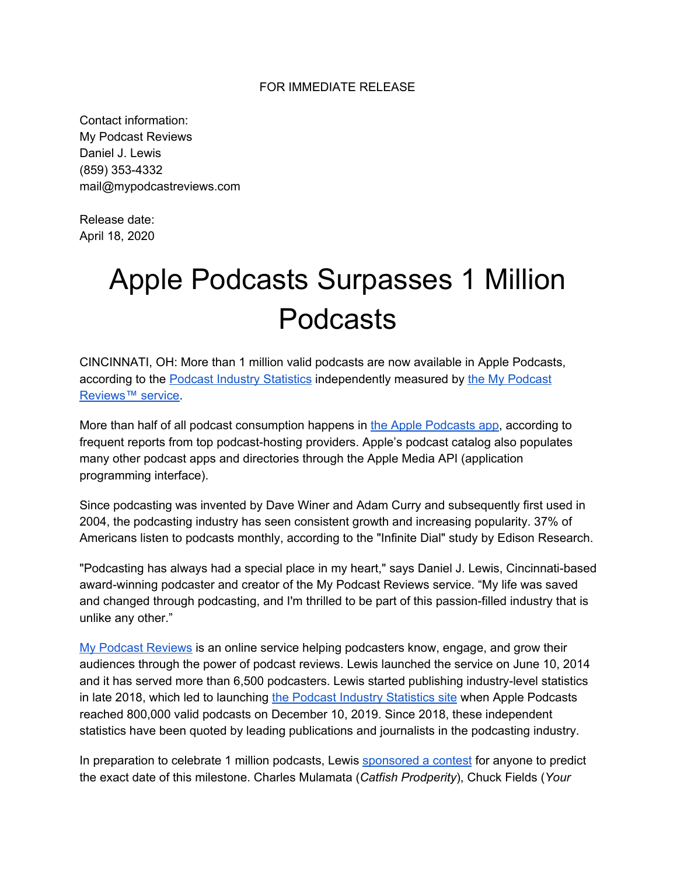## FOR IMMEDIATE RELEASE

Contact information: My Podcast Reviews Daniel J. Lewis (859) 353-4332 mail@mypodcastreviews.com

Release date: April 18, 2020

## Apple Podcasts Surpasses 1 Million Podcasts

CINCINNATI, OH: More than 1 million valid podcasts are now available in Apple Podcasts, according to th[e](https://mypodcastreviews.com/podcast-industry-statistics/) Podcast Industry [Statistics](https://mypodcastreviews.com/podcast-industry-statistics/) independently measured by the My [Podcast](https://mypodcastreviews.com/) [Reviews™](https://mypodcastreviews.com/) service.

More tha[n](https://support.apple.com/en-us/HT201859) half of all podcast consumption happens in the Apple [Podcasts](https://support.apple.com/en-us/HT201859) app, according to frequent reports from top podcast-hosting providers. Apple's podcast catalog also populates many other podcast apps and directories through the Apple Media API (application programming interface).

Since podcasting was invented by Dave Winer and Adam Curry and subsequently first used in 2004, the podcasting industry has seen consistent growth and increasing popularity. 37% of Americans listen to podcasts monthly, according to the "Infinite Dial" study by Edison Research.

"Podcasting has always had a special place in my heart," says Daniel J. Lewis, Cincinnati-based award-winning podcaster and creator of the My Podcast Reviews service. "My life was saved and changed through podcasting, and I'm thrilled to be part of this passion-filled industry that is unlike any other."

My Podcast [Reviews](https://mypodcastreviews.com/) is an online service helping podcasters know, engage, and grow their audiences through the power of podcast reviews. Lewis launched the service on June 10, 2014 and it has served more than 6,500 podcasters. Lewis started publishing industry-level statistics in late 2018, which led to launchin[g](https://mypodcastreviews.com/podcast-industry-statistics/) the Podcast Industry [Statistics](https://mypodcastreviews.com/podcast-industry-statistics/) site when Apple Podcasts reached 800,000 valid podcasts on December 10, 2019. Since 2018, these independent statistics have been quoted by leading publications and journalists in the podcasting industry.

In preparation to celebrate 1 million podcasts, Lewis [sponsored](https://mypodcastreviews.com/correctly-guess-when-apple-podcasts-hits-1-million-and-win-a-subscription-to-my-podcast-reviews/) a contest for anyone to predict the exact date of this milestone. Charles Mulamata (*Catfish Prodperity*), Chuck Fields (*Your*